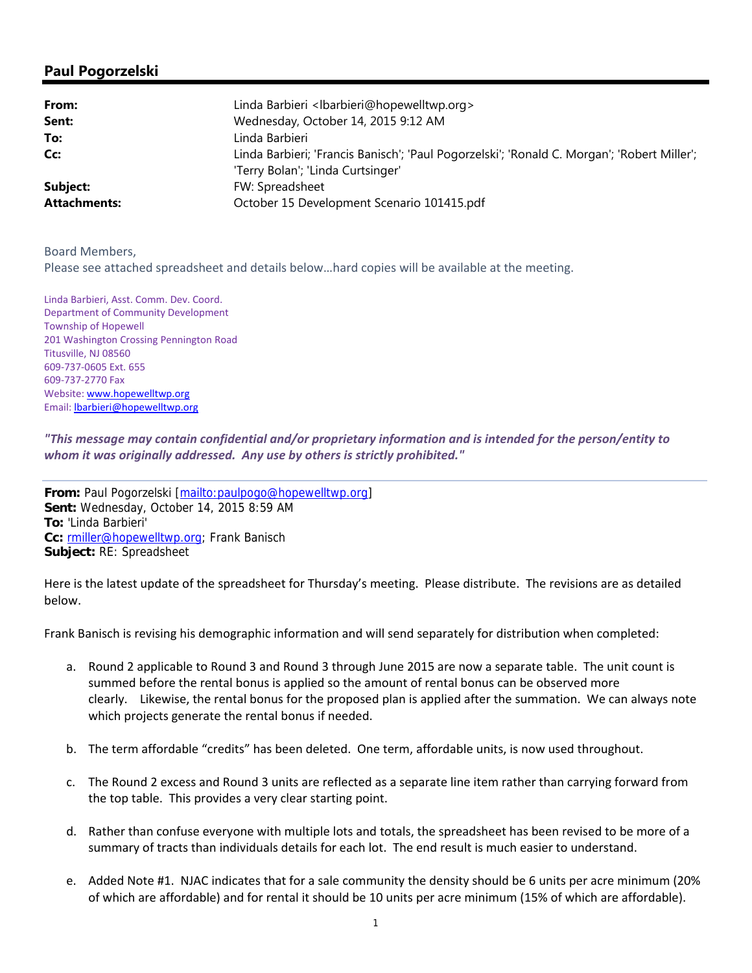## **Paul Pogorzelski**

| From:               | Linda Barbieri <lbarbieri@hopewelltwp.org></lbarbieri@hopewelltwp.org>                      |
|---------------------|---------------------------------------------------------------------------------------------|
| Sent:               | Wednesday, October 14, 2015 9:12 AM                                                         |
| To:                 | Linda Barbieri                                                                              |
| Cc:                 | Linda Barbieri; 'Francis Banisch'; 'Paul Pogorzelski'; 'Ronald C. Morgan'; 'Robert Miller'; |
|                     | 'Terry Bolan'; 'Linda Curtsinger'                                                           |
| Subject:            | FW: Spreadsheet                                                                             |
| <b>Attachments:</b> | October 15 Development Scenario 101415.pdf                                                  |

Board Members,

Please see attached spreadsheet and details below…hard copies will be available at the meeting.

Linda Barbieri, Asst. Comm. Dev. Coord. Department of Community Development Township of Hopewell 201 Washington Crossing Pennington Road Titusville, NJ 08560 609‐737‐0605 Ext. 655 609‐737‐2770 Fax Website: www.hopewelltwp.org Email: lbarbieri@hopewelltwp.org

*"This message may contain confidential and/or proprietary information and is intended for the person/entity to whom it was originally addressed. Any use by others is strictly prohibited."*

**From:** Paul Pogorzelski [mailto:paulpogo@hopewelltwp.org] **Sent:** Wednesday, October 14, 2015 8:59 AM **To:** 'Linda Barbieri' **Cc:** rmiller@hopewelltwp.org; Frank Banisch **Subject:** RE: Spreadsheet

Here is the latest update of the spreadsheet for Thursday's meeting. Please distribute. The revisions are as detailed below.

Frank Banisch is revising his demographic information and will send separately for distribution when completed:

- a. Round 2 applicable to Round 3 and Round 3 through June 2015 are now a separate table. The unit count is summed before the rental bonus is applied so the amount of rental bonus can be observed more clearly. Likewise, the rental bonus for the proposed plan is applied after the summation. We can always note which projects generate the rental bonus if needed.
- b. The term affordable "credits" has been deleted. One term, affordable units, is now used throughout.
- c. The Round 2 excess and Round 3 units are reflected as a separate line item rather than carrying forward from the top table. This provides a very clear starting point.
- d. Rather than confuse everyone with multiple lots and totals, the spreadsheet has been revised to be more of a summary of tracts than individuals details for each lot. The end result is much easier to understand.
- e. Added Note #1. NJAC indicates that for a sale community the density should be 6 units per acre minimum (20% of which are affordable) and for rental it should be 10 units per acre minimum (15% of which are affordable).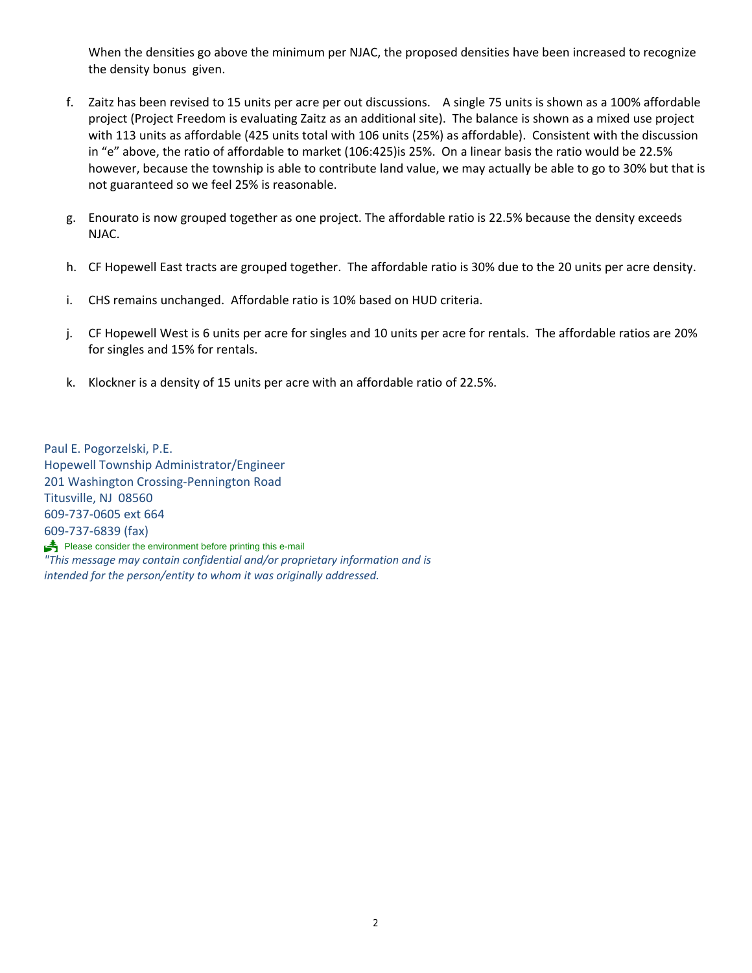When the densities go above the minimum per NJAC, the proposed densities have been increased to recognize the density bonus given.

- f. Zaitz has been revised to 15 units per acre per out discussions. A single 75 units is shown as a 100% affordable project (Project Freedom is evaluating Zaitz as an additional site). The balance is shown as a mixed use project with 113 units as affordable (425 units total with 106 units (25%) as affordable). Consistent with the discussion in "e" above, the ratio of affordable to market (106:425)is 25%. On a linear basis the ratio would be 22.5% however, because the township is able to contribute land value, we may actually be able to go to 30% but that is not guaranteed so we feel 25% is reasonable.
- g. Enourato is now grouped together as one project. The affordable ratio is 22.5% because the density exceeds NJAC.
- h. CF Hopewell East tracts are grouped together. The affordable ratio is 30% due to the 20 units per acre density.
- i. CHS remains unchanged. Affordable ratio is 10% based on HUD criteria.
- j. CF Hopewell West is 6 units per acre for singles and 10 units per acre for rentals. The affordable ratios are 20% for singles and 15% for rentals.
- k. Klockner is a density of 15 units per acre with an affordable ratio of 22.5%.

Paul E. Pogorzelski, P.E. Hopewell Township Administrator/Engineer 201 Washington Crossing‐Pennington Road Titusville, NJ 08560 609‐737‐0605 ext 664 609‐737‐6839 (fax) Please consider the environment before printing this e-mail *"This message may contain confidential and/or proprietary information and is intended for the person/entity to whom it was originally addressed.*